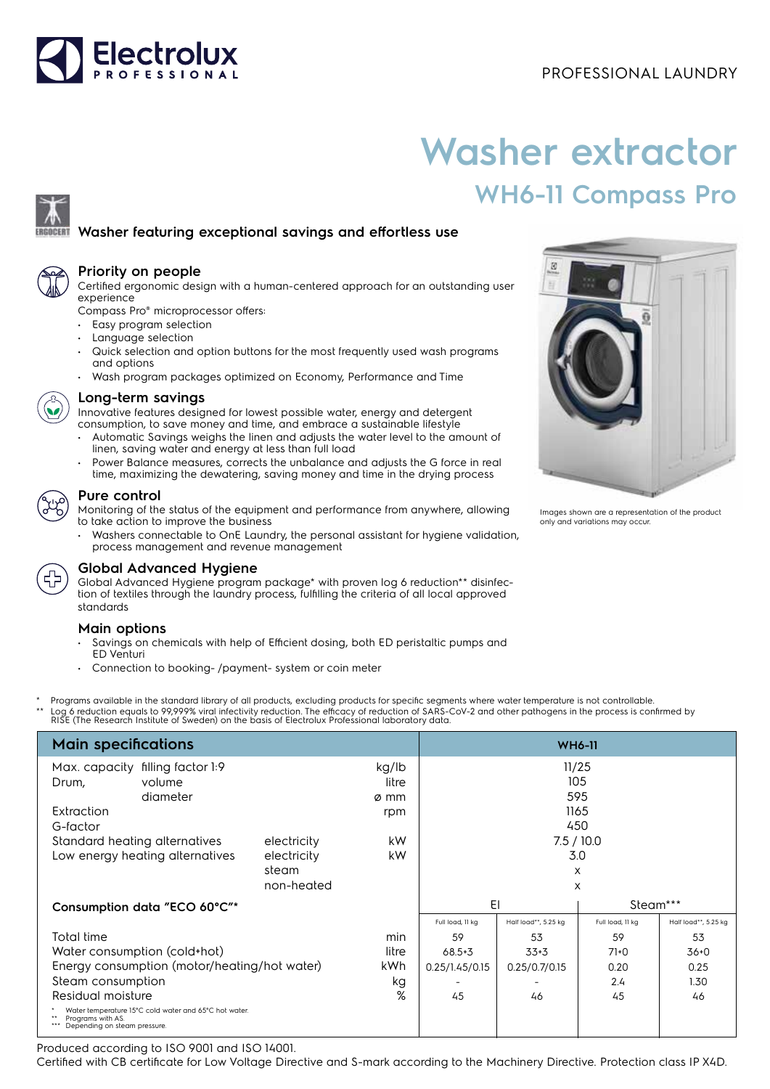

# **Washer extractor WH6-11 Compass Pro**

## **Washer featuring exceptional savings and effortless use**



### **Priority on people**

Certified ergonomic design with a human-centered approach for an outstanding user experience

Compass Pro® microprocessor offers:

- Easy program selection
- Language selection
- Quick selection and option buttons for the most frequently used wash programs and options
- Wash program packages optimized on Economy, Performance and Time



### **Long-term savings**

Innovative features designed for lowest possible water, energy and detergent consumption, to save money and time, and embrace a sustainable lifestyle

- Automatic Savings weighs the linen and adjusts the water level to the amount of linen, saving water and energy at less than full load
- Power Balance measures, corrects the unbalance and adjusts the G force in real time, maximizing the dewatering, saving money and time in the drying process



#### **Pure control**

Monitoring of the status of the equipment and performance from anywhere, allowing to take action to improve the business

• Washers connectable to OnE Laundry, the personal assistant for hygiene validation, process management and revenue management



### **Global Advanced Hygiene**

Global Advanced Hygiene program package\* with proven log 6 reduction\*\* disinfection of textiles through the laundry process, fulfilling the criteria of all local approved standards

### **Main options**

- Savings on chemicals with help of Efficient dosing, both ED peristaltic pumps and ED Venturi
- Connection to booking- /payment- system or coin meter
- Programs available in the standard library of all products, excluding products for specific segments where water temperature is not controllable.
- \*\* Log 6 reduction equals to 99,999% viral infectivity reduction. The efficacy of reduction of SARS-CoV-2 and other pathogens in the process is confirmed by<br>RISE (The Research Institute of Sweden) on the basis of Electrolu

| <b>Main specifications</b>                                                                                 | <b>WH6-11</b> |               |                  |                      |                  |                      |
|------------------------------------------------------------------------------------------------------------|---------------|---------------|------------------|----------------------|------------------|----------------------|
| filling factor 1:9<br>Max. capacity                                                                        |               | kg/lb         | 11/25<br>105     |                      |                  |                      |
| volume<br>Drum,<br>diameter                                                                                |               | litre<br>ø mm |                  |                      | 595              |                      |
| Extraction                                                                                                 |               | rpm           |                  |                      | 1165             |                      |
| G-factor                                                                                                   |               |               |                  |                      | 450              |                      |
| Standard heating alternatives                                                                              | electricity   | kW            |                  |                      | 7.5/10.0         |                      |
| Low energy heating alternatives                                                                            | electricity   | kW            | 3.0              |                      |                  |                      |
|                                                                                                            | steam         |               |                  |                      | X                |                      |
|                                                                                                            | non-heated    |               |                  |                      | X                |                      |
| Consumption data "ECO 60°C"*                                                                               |               |               | EI               |                      | Steam***         |                      |
|                                                                                                            |               |               | Full load, 11 kg | Half load**, 5.25 kg | Full load, 11 kg | Half load**, 5.25 kg |
| Total time                                                                                                 |               | min           | 59               | 53                   | 59               | 53                   |
| Water consumption (cold+hot)<br>litre                                                                      |               |               | $68.5 + 3$       | $33+3$               | $71+0$           | $36 + 0$             |
| Energy consumption (motor/heating/hot water)<br>kWh                                                        |               |               | 0.25/1.45/0.15   | 0.25/0.7/0.15        | 0.20             | 0.25                 |
| Steam consumption                                                                                          |               | kg            |                  |                      | 2.4              | 1.30                 |
| %<br>Residual moisture                                                                                     |               | 45            | 46               | 45                   | 46               |                      |
| Water temperature 15°C cold water and 65°C hot water.<br>Programs with AS.<br>Depending on steam pressure. |               |               |                  |                      |                  |                      |

Produced according to ISO 9001 and ISO 14001.

Certified with CB certificate for Low Voltage Directive and S-mark according to the Machinery Directive. Protection class IP X4D.



Images shown are a representation of the product only and variations may occur.